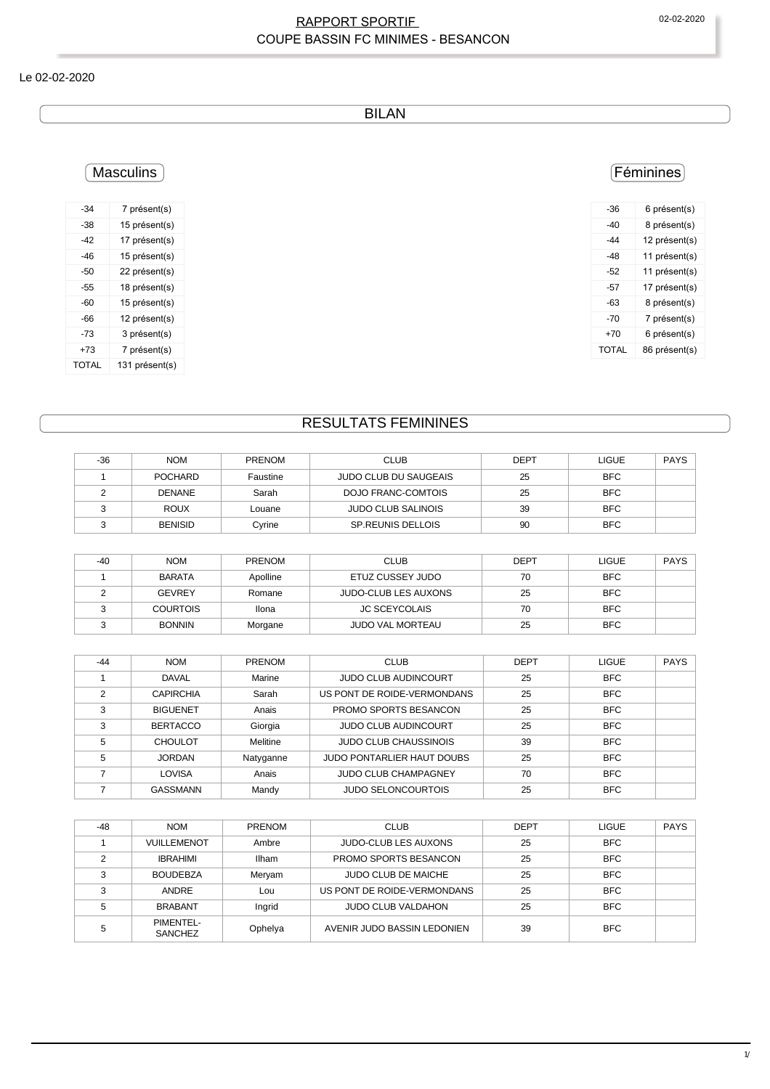#### RAPPORT SPORTIF 
02-02-2020 COUPE BASSIN FC MINIMES - BESANCON

#### Le 02-02-2020

BILAN

### **Masculins**

| -34          | 7 présent(s)   |
|--------------|----------------|
| -38          | 15 présent(s)  |
| -42          | 17 présent(s)  |
| -46          | 15 présent(s)  |
| -50          | 22 présent(s)  |
| $-55$        | 18 présent(s)  |
| -60          | 15 présent(s)  |
| -66          | 12 présent(s)  |
| -73          | 3 présent(s)   |
| +73          | 7 présent(s)   |
| <b>TOTAL</b> | 131 présent(s) |

### Féminines

| -36          | 6 présent(s)  |
|--------------|---------------|
| -40          | 8 présent(s)  |
| -44          | 12 présent(s) |
| -48          | 11 présent(s) |
| -52          | 11 présent(s) |
| -57          | 17 présent(s) |
| -63          | 8 présent(s)  |
| -70          | 7 présent(s)  |
| $+70$        | 6 présent(s)  |
| <b>TOTAL</b> | 86 présent(s) |
|              |               |

## RESULTATS FEMININES

| -36 | <b>NOM</b>     | <b>PRENOM</b> | <b>CLUB</b>               | <b>DEPT</b> | <b>LIGUE</b> | <b>PAYS</b> |
|-----|----------------|---------------|---------------------------|-------------|--------------|-------------|
|     | POCHARD        | Faustine      | JUDO CLUB DU SAUGEAIS     | 25          | <b>BFC</b>   |             |
|     | <b>DENANE</b>  | Sarah         | DOJO FRANC-COMTOIS        | 25          | <b>BFC</b>   |             |
|     | <b>ROUX</b>    | Louane        | <b>JUDO CLUB SALINOIS</b> | 39          | BFC          |             |
|     | <b>BENISID</b> | Cyrine        | <b>SP.REUNIS DELLOIS</b>  | 90          | <b>BFC</b>   |             |

| $-40$ | <b>NOM</b>      | <b>PRENOM</b> | CLUB                        | <b>DEPT</b> | <b>LIGUE</b> | <b>PAYS</b> |
|-------|-----------------|---------------|-----------------------------|-------------|--------------|-------------|
|       | <b>BARATA</b>   | Apolline      | ETUZ CUSSEY JUDO            | 70          | <b>BFC</b>   |             |
|       | <b>GEVREY</b>   | Romane        | <b>JUDO-CLUB LES AUXONS</b> | 25          | <b>BFC</b>   |             |
|       | <b>COURTOIS</b> | Ilona         | <b>JC SCEYCOLAIS</b>        | 70          | <b>BFC</b>   |             |
|       | <b>BONNIN</b>   | Morgane       | <b>JUDO VAL MORTEAU</b>     | 25          | <b>BFC</b>   |             |

| $-44$ | <b>NOM</b>       | <b>PRENOM</b> | <b>CLUB</b>                  | <b>DEPT</b> | <b>LIGUE</b> | <b>PAYS</b> |
|-------|------------------|---------------|------------------------------|-------------|--------------|-------------|
|       | <b>DAVAL</b>     | Marine        | <b>JUDO CLUB AUDINCOURT</b>  | 25          | <b>BFC</b>   |             |
| っ     | <b>CAPIRCHIA</b> | Sarah         | US PONT DE ROIDE-VERMONDANS  | 25          | <b>BFC</b>   |             |
| 3     | <b>BIGUENET</b>  | Anais         | PROMO SPORTS BESANCON        | 25          | <b>BFC</b>   |             |
| 3     | <b>BERTACCO</b>  | Giorgia       | <b>JUDO CLUB AUDINCOURT</b>  | 25          | <b>BFC</b>   |             |
| 5     | <b>CHOULOT</b>   | Melitine      | <b>JUDO CLUB CHAUSSINOIS</b> | 39          | <b>BFC</b>   |             |
| 5     | <b>JORDAN</b>    | Natyganne     | JUDO PONTARLIER HAUT DOUBS   | 25          | <b>BFC</b>   |             |
|       | LOVISA           | Anais         | <b>JUDO CLUB CHAMPAGNEY</b>  | 70          | <b>BFC</b>   |             |
|       | <b>GASSMANN</b>  | Mandy         | <b>JUDO SELONCOURTOIS</b>    | 25          | <b>BFC</b>   |             |

| $-48$ | <b>NOM</b>                  | <b>PRENOM</b> | <b>CLUB</b>                 | <b>DEPT</b> | <b>LIGUE</b> | <b>PAYS</b> |
|-------|-----------------------------|---------------|-----------------------------|-------------|--------------|-------------|
|       | VUILLEMENOT                 | Ambre         | <b>JUDO-CLUB LES AUXONS</b> | 25          | <b>BFC</b>   |             |
|       | <b>IBRAHIMI</b>             | Ilham         | PROMO SPORTS BESANCON       | 25          | <b>BFC</b>   |             |
|       | <b>BOUDEBZA</b>             | Meryam        | <b>JUDO CLUB DE MAICHE</b>  | 25          | <b>BFC</b>   |             |
| 2     | ANDRE                       | Lou           | US PONT DE ROIDE-VERMONDANS | 25          | <b>BFC</b>   |             |
|       | <b>BRABANT</b>              | Ingrid        | <b>JUDO CLUB VALDAHON</b>   | 25          | <b>BFC</b>   |             |
|       | PIMENTEL-<br><b>SANCHEZ</b> | Ophelya       | AVENIR JUDO BASSIN LEDONIEN | 39          | <b>BFC</b>   |             |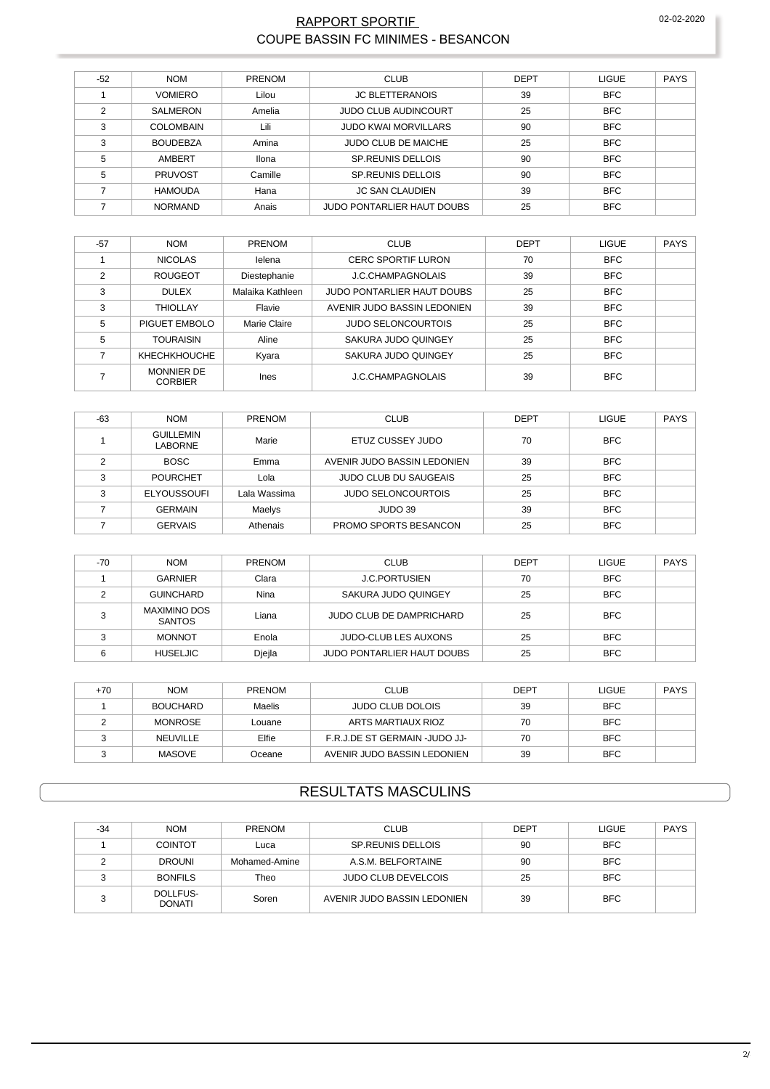#### **RAPPORT SPORTIF** COUPE BASSIN FC MINIMES - BESANCON

| $-52$ | <b>NOM</b>       | <b>PRENOM</b> | <b>CLUB</b>                       | <b>DEPT</b> | <b>LIGUE</b> | <b>PAYS</b> |
|-------|------------------|---------------|-----------------------------------|-------------|--------------|-------------|
|       | <b>VOMIERO</b>   | Lilou         | <b>JC BLETTERANOIS</b>            | 39          | <b>BFC</b>   |             |
| 2     | SALMERON         | Amelia        | <b>JUDO CLUB AUDINCOURT</b>       | 25          | <b>BFC</b>   |             |
| 3     | <b>COLOMBAIN</b> | Lili          | <b>JUDO KWAI MORVILLARS</b>       | 90          | <b>BFC</b>   |             |
| 3     | <b>BOUDEBZA</b>  | Amina         | <b>JUDO CLUB DE MAICHE</b>        | 25          | <b>BFC</b>   |             |
| 5     | AMBERT           | Ilona         | SP. REUNIS DELLOIS                | 90          | <b>BFC</b>   |             |
| 5     | <b>PRUVOST</b>   | Camille       | SP. REUNIS DELLOIS                | 90          | <b>BFC</b>   |             |
|       | <b>HAMOUDA</b>   | Hana          | <b>JC SAN CLAUDIEN</b>            | 39          | <b>BFC</b>   |             |
|       | <b>NORMAND</b>   | Anais         | <b>JUDO PONTARLIER HAUT DOUBS</b> | 25          | <b>BFC</b>   |             |

| $-57$ | <b>NOM</b>                          | <b>PRENOM</b>       | <b>CLUB</b>                       | <b>DEPT</b> | <b>LIGUE</b> | <b>PAYS</b> |
|-------|-------------------------------------|---------------------|-----------------------------------|-------------|--------------|-------------|
|       | <b>NICOLAS</b>                      | lelena              | <b>CERC SPORTIF LURON</b>         | 70          | <b>BFC</b>   |             |
| C     | <b>ROUGEOT</b>                      | Diestephanie        | J.C.CHAMPAGNOLAIS                 | 39          | <b>BFC</b>   |             |
| 3     | <b>DULEX</b>                        | Malaika Kathleen    | <b>JUDO PONTARLIER HAUT DOUBS</b> | 25          | <b>BFC</b>   |             |
| 3     | <b>THIOLLAY</b>                     | Flavie              | AVENIR JUDO BASSIN LEDONIEN       | 39          | <b>BFC</b>   |             |
| 5     | PIGUET EMBOLO                       | <b>Marie Claire</b> | <b>JUDO SELONCOURTOIS</b>         | 25          | <b>BFC</b>   |             |
| 5     | <b>TOURAISIN</b>                    | Aline               | SAKURA JUDO QUINGEY               | 25          | <b>BFC</b>   |             |
|       | <b>KHECHKHOUCHE</b>                 | Kyara               | SAKURA JUDO QUINGEY               | 25          | <b>BFC</b>   |             |
|       | <b>MONNIER DE</b><br><b>CORBIER</b> | <b>Ines</b>         | J.C.CHAMPAGNOLAIS                 | 39          | <b>BFC</b>   |             |

| $-63$ | <b>NOM</b>                  | <b>PRENOM</b> | <b>CLUB</b>                  | <b>DEPT</b> | <b>LIGUE</b> | PAYS |
|-------|-----------------------------|---------------|------------------------------|-------------|--------------|------|
|       | <b>GUILLEMIN</b><br>LABORNE | Marie         | ETUZ CUSSEY JUDO             | 70          | <b>BFC</b>   |      |
|       | <b>BOSC</b>                 | Emma          | AVENIR JUDO BASSIN LEDONIEN  | 39          | <b>BFC</b>   |      |
| ົ     | <b>POURCHET</b>             | Lola          | <b>JUDO CLUB DU SAUGEAIS</b> | 25          | <b>BFC</b>   |      |
| ີ     | <b>ELYOUSSOUFI</b>          | Lala Wassima  | <b>JUDO SELONCOURTOIS</b>    | 25          | <b>BFC</b>   |      |
|       | <b>GERMAIN</b>              | Maelys        | JUDO 39                      | 39          | <b>BFC</b>   |      |
|       | <b>GERVAIS</b>              | Athenais      | PROMO SPORTS BESANCON        | 25          | <b>BFC</b>   |      |

| $-70$ | <b>NOM</b>                    | <b>PRENOM</b> | <b>CLUB</b>                 | <b>DEPT</b> | LIGUE      | PAYS |
|-------|-------------------------------|---------------|-----------------------------|-------------|------------|------|
|       | GARNIER                       | Clara         | <b>J.C.PORTUSIEN</b>        | 70          | <b>BFC</b> |      |
|       | <b>GUINCHARD</b>              | Nina          | SAKURA JUDO QUINGEY         | 25          | <b>BFC</b> |      |
|       | MAXIMINO DOS<br><b>SANTOS</b> | Liana         | JUDO CLUB DE DAMPRICHARD    | 25          | <b>BFC</b> |      |
|       | <b>MONNOT</b>                 | Enola         | <b>JUDO-CLUB LES AUXONS</b> | 25          | <b>BFC</b> |      |
|       | <b>HUSELJIC</b>               | Djejla        | JUDO PONTARLIER HAUT DOUBS  | 25          | <b>BFC</b> |      |

| +70 | <b>NOM</b>      | PRENOM | <b>CLUB</b>                   | <b>DEPT</b> | <b>LIGUE</b> | <b>PAYS</b> |
|-----|-----------------|--------|-------------------------------|-------------|--------------|-------------|
|     | <b>BOUCHARD</b> | Maelis | <b>JUDO CLUB DOLOIS</b>       | 39          | <b>BFC</b>   |             |
|     | MONROSE         | Louane | ARTS MARTIAUX RIOZ            | 70          | <b>BFC</b>   |             |
|     | NEUVILLE        | Elfie  | F.R.J.DE ST GERMAIN -JUDO JJ- | 70          | <b>BFC</b>   |             |
|     | <b>MASOVE</b>   | Oceane | AVENIR JUDO BASSIN LEDONIEN   | 39          | <b>BFC</b>   |             |

### **RESULTATS MASCULINS**

| $-34$ | <b>NOM</b>                | <b>PRENOM</b> | <b>CLUB</b>                 | DEPT | <b>LIGUE</b> | <b>PAYS</b> |
|-------|---------------------------|---------------|-----------------------------|------|--------------|-------------|
|       | <b>COINTOT</b>            | Luca          | <b>SP.REUNIS DELLOIS</b>    | 90   | <b>BFC</b>   |             |
|       | <b>DROUNI</b>             | Mohamed-Amine | A.S.M. BELFORTAINE          | 90   | <b>BFC</b>   |             |
| ົ     | <b>BONFILS</b>            | Theo          | <b>JUDO CLUB DEVELCOIS</b>  | 25   | <b>BFC</b>   |             |
|       | DOLLFUS-<br><b>DONATI</b> | Soren         | AVENIR JUDO BASSIN LEDONIEN | 39   | <b>BFC</b>   |             |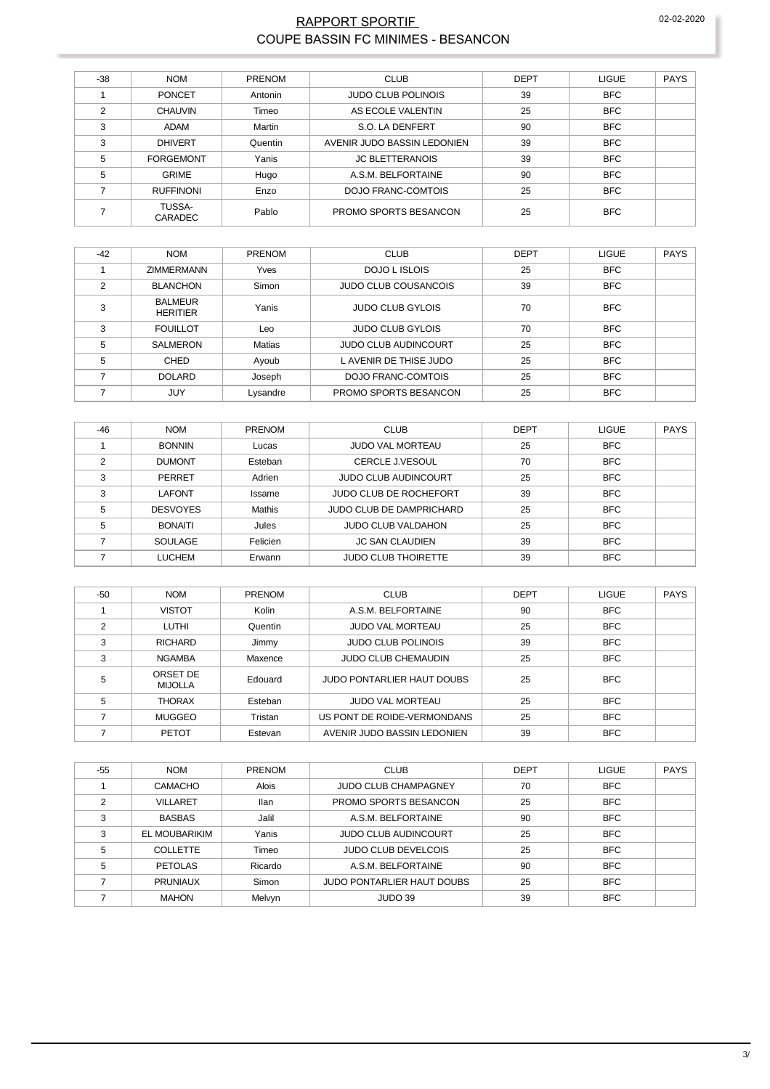#### RAPPORT SPORTIF 02-02-2020 COUPE BASSIN FC MINIMES - BESANCON

| $-38$ | <b>NOM</b>               | PRENOM  | <b>CLUB</b>                 | <b>DEPT</b> | <b>LIGUE</b> | <b>PAYS</b> |
|-------|--------------------------|---------|-----------------------------|-------------|--------------|-------------|
|       | <b>PONCET</b>            | Antonin | <b>JUDO CLUB POLINOIS</b>   | 39          | <b>BFC</b>   |             |
| 2     | <b>CHAUVIN</b>           | Timeo   | AS ECOLE VALENTIN           | 25          | <b>BFC</b>   |             |
| 3     | ADAM                     | Martin  | S.O. LA DENFERT             | 90          | <b>BFC</b>   |             |
| 3     | <b>DHIVERT</b>           | Quentin | AVENIR JUDO BASSIN LEDONIEN | 39          | <b>BFC</b>   |             |
| 5     | <b>FORGEMONT</b>         | Yanis   | <b>JC BLETTERANOIS</b>      | 39          | <b>BFC</b>   |             |
| 5     | <b>GRIME</b>             | Hugo    | A.S.M. BELFORTAINE          | 90          | <b>BFC</b>   |             |
|       | <b>RUFFINONI</b>         | Enzo    | DOJO FRANC-COMTOIS          | 25          | <b>BFC</b>   |             |
|       | TUSSA-<br><b>CARADEC</b> | Pablo   | PROMO SPORTS BESANCON       | 25          | <b>BFC</b>   |             |

| $-42$ | <b>NOM</b>                        | <b>PRENOM</b> | <b>CLUB</b>                 | <b>DEPT</b> | <b>LIGUE</b> | <b>PAYS</b> |
|-------|-----------------------------------|---------------|-----------------------------|-------------|--------------|-------------|
|       | <b>ZIMMERMANN</b>                 | Yves          | <b>DOJO L ISLOIS</b>        | 25          | <b>BFC</b>   |             |
| 2     | <b>BLANCHON</b>                   | Simon         | <b>JUDO CLUB COUSANCOIS</b> | 39          | <b>BFC</b>   |             |
| 3     | <b>BALMEUR</b><br><b>HERITIER</b> | Yanis         | <b>JUDO CLUB GYLOIS</b>     | 70          | <b>BFC</b>   |             |
| 3     | <b>FOUILLOT</b>                   | Leo           | <b>JUDO CLUB GYLOIS</b>     | 70          | <b>BFC</b>   |             |
| 5     | <b>SALMERON</b>                   | <b>Matias</b> | <b>JUDO CLUB AUDINCOURT</b> | 25          | <b>BFC</b>   |             |
| 5     | CHED                              | Ayoub         | L AVENIR DE THISE JUDO      | 25          | <b>BFC</b>   |             |
|       | <b>DOLARD</b>                     | Joseph        | <b>DOJO FRANC-COMTOIS</b>   | 25          | <b>BFC</b>   |             |
|       | JUY                               | Lysandre      | PROMO SPORTS BESANCON       | 25          | <b>BFC</b>   |             |

| $-46$ | <b>NOM</b>      | <b>PRENOM</b> | <b>CLUB</b>                 | <b>DEPT</b> | <b>LIGUE</b> | <b>PAYS</b> |
|-------|-----------------|---------------|-----------------------------|-------------|--------------|-------------|
|       | <b>BONNIN</b>   | Lucas         | <b>JUDO VAL MORTEAU</b>     | 25          | <b>BFC</b>   |             |
| ◠     | <b>DUMONT</b>   | Esteban       | <b>CERCLE J.VESOUL</b>      | 70          | <b>BFC</b>   |             |
| 3     | <b>PERRET</b>   | Adrien        | <b>JUDO CLUB AUDINCOURT</b> | 25          | <b>BFC</b>   |             |
| 3     | LAFONT          | Issame        | JUDO CLUB DE ROCHEFORT      | 39          | <b>BFC</b>   |             |
| 5     | <b>DESVOYES</b> | Mathis        | JUDO CLUB DE DAMPRICHARD    | 25          | <b>BFC</b>   |             |
| 5     | <b>BONAITI</b>  | Jules         | <b>JUDO CLUB VALDAHON</b>   | 25          | <b>BFC</b>   |             |
|       | SOULAGE         | Felicien      | <b>JC SAN CLAUDIEN</b>      | 39          | <b>BFC</b>   |             |
|       | <b>LUCHEM</b>   | Erwann        | <b>JUDO CLUB THOIRETTE</b>  | 39          | <b>BFC</b>   |             |

| -50 | <b>NOM</b>                 | <b>PRENOM</b> | <b>CLUB</b>                       | <b>DEPT</b> | <b>LIGUE</b> | <b>PAYS</b> |
|-----|----------------------------|---------------|-----------------------------------|-------------|--------------|-------------|
|     | <b>VISTOT</b>              | Kolin         | A.S.M. BELFORTAINE                | 90          | <b>BFC</b>   |             |
| 2   | <b>LUTHI</b>               | Quentin       | <b>JUDO VAL MORTEAU</b>           | 25          | <b>BFC</b>   |             |
| 3   | <b>RICHARD</b>             | Jimmy         | <b>JUDO CLUB POLINOIS</b>         | 39          | <b>BFC</b>   |             |
| 3   | <b>NGAMBA</b>              | Maxence       | <b>JUDO CLUB CHEMAUDIN</b>        | 25          | <b>BFC</b>   |             |
| 5   | ORSET DE<br><b>MIJOLLA</b> | Edouard       | <b>JUDO PONTARLIER HAUT DOUBS</b> | 25          | <b>BFC</b>   |             |
| 5   | <b>THORAX</b>              | Esteban       | <b>JUDO VAL MORTEAU</b>           | 25          | <b>BFC</b>   |             |
|     | <b>MUGGEO</b>              | Tristan       | US PONT DE ROIDE-VERMONDANS       | 25          | <b>BFC</b>   |             |
|     | <b>PETOT</b>               | Estevan       | AVENIR JUDO BASSIN LEDONIEN       | 39          | <b>BFC</b>   |             |

| $-55$ | <b>NOM</b>      | <b>PRENOM</b> | <b>CLUB</b>                 | <b>DEPT</b> | <b>LIGUE</b> | <b>PAYS</b> |
|-------|-----------------|---------------|-----------------------------|-------------|--------------|-------------|
|       | <b>CAMACHO</b>  | <b>Alois</b>  | <b>JUDO CLUB CHAMPAGNEY</b> | 70          | <b>BFC</b>   |             |
| C     | <b>VILLARET</b> | <b>Ilan</b>   | PROMO SPORTS BESANCON       | 25          | <b>BFC</b>   |             |
| 3     | <b>BASBAS</b>   | Jalil         | A.S.M. BELFORTAINE          | 90          | <b>BFC</b>   |             |
| 3     | EL MOUBARIKIM   | Yanis         | <b>JUDO CLUB AUDINCOURT</b> | 25          | <b>BFC</b>   |             |
| 5     | <b>COLLETTE</b> | Timeo         | <b>JUDO CLUB DEVELCOIS</b>  | 25          | <b>BFC</b>   |             |
| 5     | <b>PETOLAS</b>  | Ricardo       | A.S.M. BELFORTAINE          | 90          | <b>BFC</b>   |             |
|       | <b>PRUNIAUX</b> | Simon         | JUDO PONTARLIER HAUT DOUBS  | 25          | <b>BFC</b>   |             |
|       | <b>MAHON</b>    | Melvyn        | JUDO 39                     | 39          | <b>BFC</b>   |             |